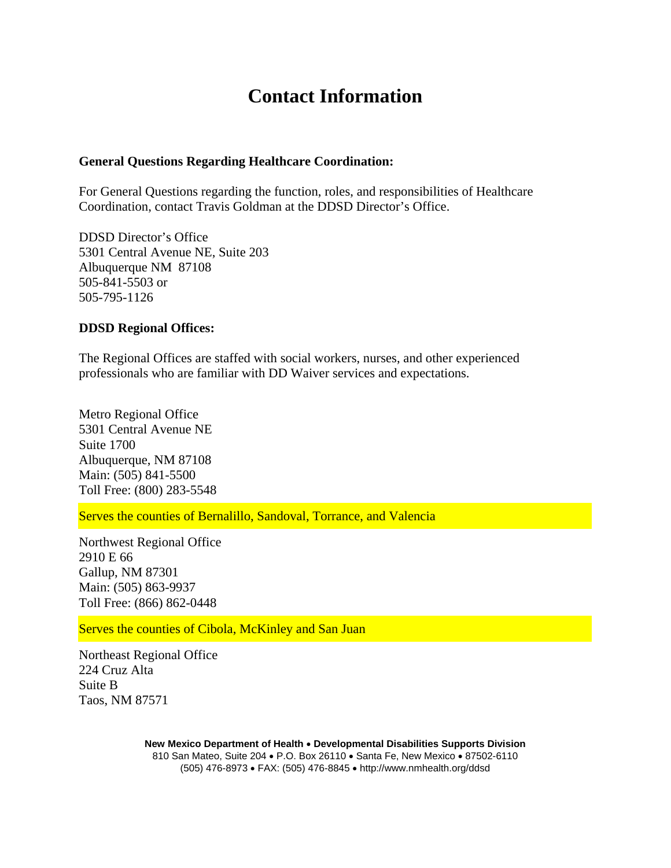# **Contact Information**

#### **General Questions Regarding Healthcare Coordination:**

For General Questions regarding the function, roles, and responsibilities of Healthcare Coordination, contact Travis Goldman at the DDSD Director's Office.

DDSD Director's Office 5301 Central Avenue NE, Suite 203 Albuquerque NM 87108 505-841-5503 or 505-795-1126

### **DDSD Regional Offices:**

The Regional Offices are staffed with social workers, nurses, and other experienced professionals who are familiar with DD Waiver services and expectations.

Metro Regional Office 5301 Central Avenue NE Suite 1700 Albuquerque, NM 87108 Main: (505) 841-5500 Toll Free: (800) 283-5548

Serves the counties of Bernalillo, Sandoval, Torrance, and Valencia

Northwest Regional Office 2910 E 66 Gallup, NM 87301 Main: (505) 863-9937 Toll Free: (866) 862-0448

Serves the counties of Cibola, McKinley and San Juan

Northeast Regional Office 224 Cruz Alta Suite B Taos, NM 87571

> **New Mexico Department of Health** • **Developmental Disabilities Supports Division** 810 San Mateo, Suite 204 • P.O. Box 26110 • Santa Fe, New Mexico • 87502-6110 (505) 476-8973 • FAX: (505) 476-8845 • http://www.nmhealth.org/ddsd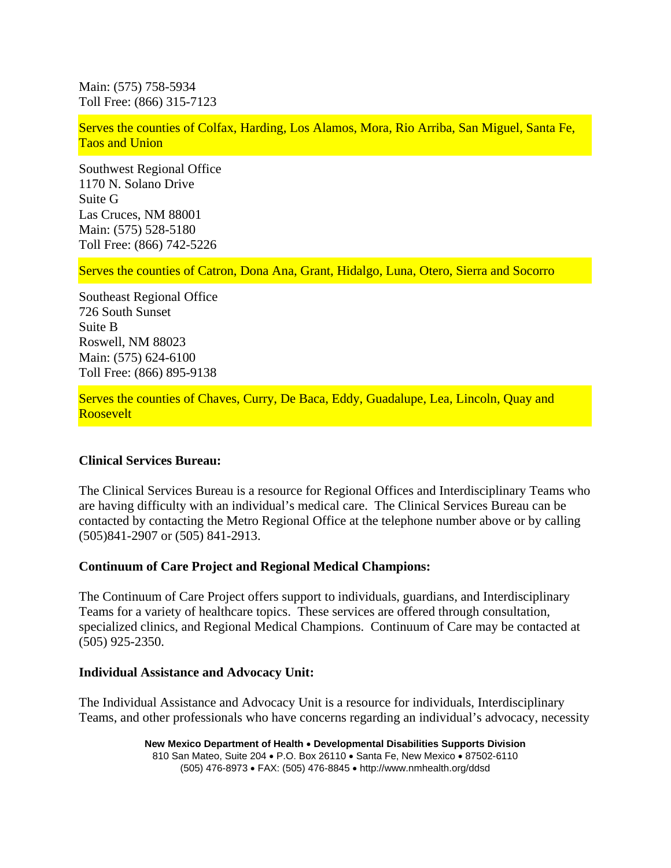Main: (575) 758-5934 Toll Free: (866) 315-7123

Serves the counties of Colfax, Harding, Los Alamos, Mora, Rio Arriba, San Miguel, Santa Fe, Taos and Union

Southwest Regional Office 1170 N. Solano Drive Suite G Las Cruces, NM 88001 Main: (575) 528-5180 Toll Free: (866) 742-5226

Serves the counties of Catron, Dona Ana, Grant, Hidalgo, Luna, Otero, Sierra and Socorro

Southeast Regional Office 726 South Sunset Suite B Roswell, NM 88023 Main: (575) 624-6100 Toll Free: (866) 895-9138

Serves the counties of Chaves, Curry, De Baca, Eddy, Guadalupe, Lea, Lincoln, Quay and Roosevelt

#### **Clinical Services Bureau:**

The Clinical Services Bureau is a resource for Regional Offices and Interdisciplinary Teams who are having difficulty with an individual's medical care. The Clinical Services Bureau can be contacted by contacting the Metro Regional Office at the telephone number above or by calling (505)841-2907 or (505) 841-2913.

#### **Continuum of Care Project and Regional Medical Champions:**

The Continuum of Care Project offers support to individuals, guardians, and Interdisciplinary Teams for a variety of healthcare topics. These services are offered through consultation, specialized clinics, and Regional Medical Champions. Continuum of Care may be contacted at (505) 925-2350.

#### **Individual Assistance and Advocacy Unit:**

The Individual Assistance and Advocacy Unit is a resource for individuals, Interdisciplinary Teams, and other professionals who have concerns regarding an individual's advocacy, necessity

> **New Mexico Department of Health** • **Developmental Disabilities Supports Division** 810 San Mateo, Suite 204 • P.O. Box 26110 • Santa Fe, New Mexico • 87502-6110 (505) 476-8973 • FAX: (505) 476-8845 • http://www.nmhealth.org/ddsd